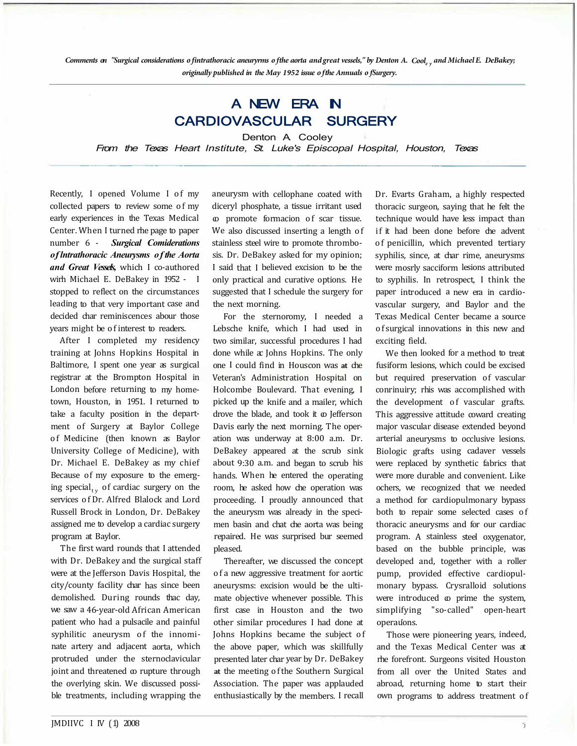*Comments on "Surgical considerations of intrathoracic aneuryrms of the aorta and great vessels," by Denton A. Cool<sub>ey</sub> and Michael E. DeBakey; originally published in the May 1952 issue of the Annuals of Surgery.* 

## A NEW ERA IN CARDIOVASCULAR SURGERY

Denton A. Cooley

From the Texas Heart Institute, St. Luke's Episcopal Hospital, Houston, Texas

Recently, I opened Volume I of my collected papers to review some of my early experiences in the Texas Medical Center. When I turned rhe page to paper<br>number 6 - **Surgical Comiderations Surgical Comiderations** *of lntrathoracic Aneurysms of the Aorta and Great Vessels,* which I co-authored wirh Michael E. DeBakey in 1952 - I stopped to reflect on the circumstances leading to that very important case and decided char reminiscences abour those years might be of interest to readers.

After I completed my residency training at Johns Hopkins Hospital in Baltimore, I spent one year as surgical registrar at the Brompton Hospital in London before returning to my hometown, Houston, in 1951. I returned to take a faculty position in the department of Surgery at Baylor College of Medicine (then known as Baylor University College of Medicine), with Dr. Michael E. DeBakey as my chief Because of my exposure to the emerging special<sub>ty</sub> of cardiac surgery on the services of Dr. Alfred Blalock and Lord Russell Brock in London, Dr. DeBakey assigned me to develop a cardiac surgery program at Baylor.

The first ward rounds that I attended with Dr. DeBakey and the surgical staff were at the Jefferson Davis Hospital, the city/county facility char has since been demolished. During rounds thac day, we saw a 46-year-old African American patient who had a pulsacile and painful syphilitic aneurysm of the innominate artery and adjacent aorta, which protruded under the sternoclavicular joint and threatened  $\omega$  rupture through the overlying skin. We discussed possible treatments, including wrapping the

aneurysm with cellophane coated with diceryl phosphate, a tissue irritant used co promote formacion of scar tissue. We also discussed inserting a length of stainless steel wire to promote thrombosis. Dr. DeBakey asked for my opinion; I said that I believed excision to be the only practical and curative options. He suggested that I schedule the surgery for the next morning.

For the sternoromy, I needed a Lebsche knife, which I had used in two similar, successful procedures I had done while  $x$  Johns Hopkins. The only one I could find in Houscon was **at** che Veteran's Administration Hospital on Holcombe Boulevard. That evening, I picked up the knife and a mailer, which drove the blade, and took it  $\omega$  Jefferson Davis early the next morning. The operation was underway at 8:00 a.m. Dr. DeBakey appeared at the scrub sink about 9:30 a.m. and began to scrub his hands. When he entered the operating room, he asked how che operation was proceeding. I proudly announced that the aneurysm was already in the specimen basin and chat che aorta was being repaired. He was surprised bur seemed pleased.

Thereafter, we discussed the concept of a new aggressive treatment for aortic aneurysms: excision would be the ultimate objective whenever possible. This first case in Houston and the two other similar procedures I had done at Johns Hopkins became the subject of the above paper, which was skillfully presented later char year by Dr. DeBakey **at** the meeting of the Southern Surgical Association. The paper was applauded enthusiastically by the members. I recall

Dr. Evarts Graham, a highly respected thoracic surgeon, saying that he felt the technique would have less impact than if it had been done before che advent of penicillin, which prevented tertiary syphilis, since, at char rime, aneurysms were mosrly sacciform lesions attributed to syphilis. In retrospect, I think the paper introduced a new era in cardiovascular surgery, and Baylor and the Texas Medical Center became a source of surgical innovations in this new and exciting field.

We then looked for a method to treat fusiform lesions, which could be excised but required preservation of vascular conrinuiry; rhis was accomplished with the development of vascular grafts. This aggressive attitude coward creating major vascular disease extended beyond arterial aneurysms to occlusive lesions. Biologic grafts using cadaver vessels were replaced by synthetic fabrics that were more durable and convenient. Like ochers, we recognized that we needed a method for cardiopulmonary bypass both to repair some selected cases of thoracic aneurysms and for our cardiac program. A stainless steel oxygenator, based on the bubble principle, was developed and, together with a roller pump, provided effective cardiopulmonary bypass. Crysralloid solutions were introduced  $\infty$  prime the system, simplifying "so-called" open-heart operauons.

Those were pioneering years, indeed, and the Texas Medical Center was at rhe forefront. Surgeons visited Houston from all over the United States and abroad, returning home to start their own programs to address treatment of